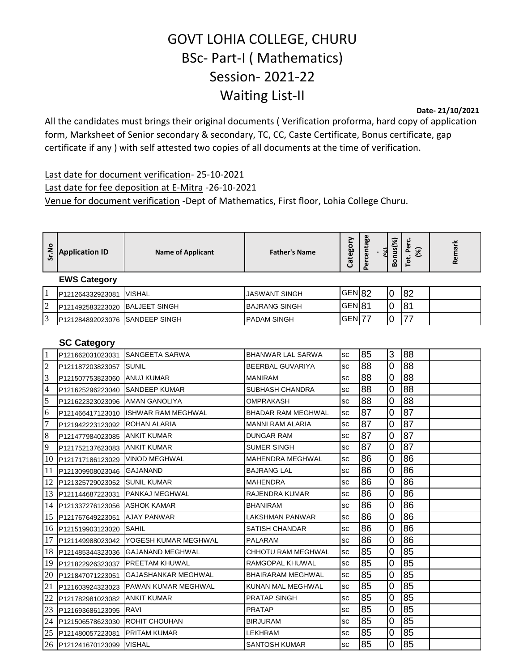## GOVT LOHIA COLLEGE, CHURU BSc- Part-I ( Mathematics) Session- 2021-22 Waiting List-II

**Date- 21/10/2021**

All the candidates must brings their original documents ( Verification proforma, hard copy of application form, Marksheet of Senior secondary & secondary, TC, CC, Caste Certificate, Bonus certificate, gap certificate if any ) with self attested two copies of all documents at the time of verification.

Last date for document verification- 25-10-2021 Last date for fee deposition at E-Mitra -26-10-2021 Venue for document verification -Dept of Mathematics, First floor, Lohia College Churu.

| Sr.No          | <b>Application ID</b> | <b>Name of Applicant</b>   | <b>Father's Name</b>      | Category          | Percentage<br>ৰে | Bonus(%)       | Tot. Perc.<br>$\widehat{\mathcal{E}}$ | Remark |
|----------------|-----------------------|----------------------------|---------------------------|-------------------|------------------|----------------|---------------------------------------|--------|
|                | <b>EWS Category</b>   |                            |                           |                   |                  |                |                                       |        |
| $\mathbf{1}$   | P121264332923081      | <b>VISHAL</b>              | <b>JASWANT SINGH</b>      | GEN <sub>82</sub> |                  | $\overline{0}$ | 82                                    |        |
| $\overline{c}$ | P121492583223020      | <b>BALJEET SINGH</b>       | <b>BAJRANG SINGH</b>      | GEN81             |                  | 0              | 81                                    |        |
| 3              | P121284892023076      | <b>ISANDEEP SINGH</b>      | PADAM SINGH               | GEN <sub>77</sub> |                  | 0              | 77                                    |        |
|                | <b>SC Category</b>    |                            |                           |                   |                  |                |                                       |        |
| $\mathbf{1}$   | P121662031023031      | SANGEETA SARWA             | <b>BHANWAR LAL SARWA</b>  | SC                | 85               | 3              | 88                                    |        |
| $\overline{2}$ | P121187203823057      | <b>SUNIL</b>               | BEERBAL GUVARIYA          | SC                | 88               | 0              | 88                                    |        |
| 3              | P121507753823060      | <b>ANUJ KUMAR</b>          | <b>MANIRAM</b>            | SC                | 88               | 0              | 88                                    |        |
| 4              | P121625296223040      | <b>SANDEEP KUMAR</b>       | <b>SUBHASH CHANDRA</b>    | SC                | $\overline{88}$  | 0              | 88                                    |        |
| 5              | P121622323023096      | <b>AMAN GANOLIYA</b>       | OMPRAKASH                 | SC                | 88               | 0              | 88                                    |        |
| 6              | P121466417123010      | <b>ISHWAR RAM MEGHWAL</b>  | <b>BHADAR RAM MEGHWAL</b> | SC                | 87               | 0              | 87                                    |        |
| $\overline{7}$ | P121942223123092      | ROHAN ALARIA               | <b>MANNI RAM ALARIA</b>   | SC                | 87               | 0              | 87                                    |        |
| 8              | P121477984023085      | <b>ANKIT KUMAR</b>         | <b>DUNGAR RAM</b>         | SC                | 87               | 0              | 87                                    |        |
| 9              | P121752137623083      | <b>ANKIT KUMAR</b>         | SUMER SINGH               | SC                | 87               | 0              | 87                                    |        |
| 10             | P121717186123029      | <b>VINOD MEGHWAL</b>       | <b>MAHENDRA MEGHWAL</b>   | SC                | 86               | 0              | 86                                    |        |
| 11             | P121309908023046      | <b>GAJANAND</b>            | <b>BAJRANG LAL</b>        | SC                | 86               | 0              | 86                                    |        |
| 12             | P121325729023052      | <b>SUNIL KUMAR</b>         | <b>MAHENDRA</b>           | SC                | 86               | 0              | 86                                    |        |
| 13             | P121144687223031      | PANKAJ MEGHWAL             | RAJENDRA KUMAR            | SC                | 86               | 0              | 86                                    |        |
| 14             | P121337276123056      | <b>ASHOK KAMAR</b>         | <b>BHANIRAM</b>           | SC                | 86               | $\overline{0}$ | 86                                    |        |
| 15             | P121767649223051      | <b>AJAY PANWAR</b>         | LAKSHMAN PANWAR           | SC                | 86               | 0              | 86                                    |        |
| 16             | P121519903123020      | SAHIL                      | SATISH CHANDAR            | SC                | 86               | 0              | 86                                    |        |
| 17             | P121149988023042      | YOGESH KUMAR MEGHWAL       | <b>PALARAM</b>            | SC                | 86               | 0              | 86                                    |        |
| 18             | P121485344323036      | <b>IGAJANAND MEGHWAL</b>   | <b>CHHOTU RAM MEGHWAL</b> | SC                | 85               | 0              | 85                                    |        |
| 19             | P121822926323037      | PREETAM KHUWAL             | RAMGOPAL KHUWAL           | SC                | 85               | 0              | 85                                    |        |
| 20             | P121847071223051      | GAJASHANKAR MEGHWAL        | <b>BHAIRARAM MEGHWAL</b>  | SC                | 85               | 0              | 85                                    |        |
| 21             | P121603924323023      | <b>PAWAN KUMAR MEGHWAL</b> | KUNAN MAL MEGHWAL         | SC                | 85               | 0              | 85                                    |        |
| 22             | P121782981023082      | <b>ANKIT KUMAR</b>         | <b>PRATAP SINGH</b>       | SC                | 85               | 0              | 85                                    |        |

23 P121693686123095 RAVI PRATAP sc 85 0 85 24 P121506578623030 ROHIT CHOUHAN BIRJURAM BIRJURAM Sc 85 0 85 25 P121480057223081 PRITAM KUMAR LEEKHRAM LEKHRAM SC 85 0 85 26 P121241670123099 VISHAL SANTOSH KUMAR sc 85 0 85